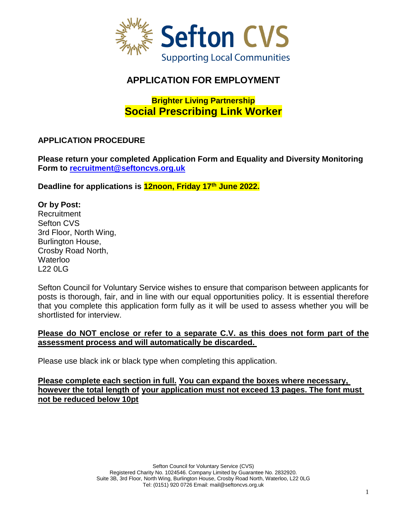

# **APPLICATION FOR EMPLOYMENT**

# **Brighter Living Partnership Social Prescribing Link Worker**

# **APPLICATION PROCEDURE**

**Please return your completed Application Form and Equality and Diversity Monitoring Form to [recruitment@seftoncvs.org.uk](mailto:recruitment@seftoncvs.org.uk)**

**Deadline for applications is 12noon, Friday 17th June 2022.**

### **Or by Post:**

**Recruitment** Sefton CVS 3rd Floor, North Wing, Burlington House, Crosby Road North, **Waterloo** L22 0LG

Sefton Council for Voluntary Service wishes to ensure that comparison between applicants for posts is thorough, fair, and in line with our equal opportunities policy. It is essential therefore that you complete this application form fully as it will be used to assess whether you will be shortlisted for interview.

### **Please do NOT enclose or refer to a separate C.V. as this does not form part of the assessment process and will automatically be discarded.**

Please use black ink or black type when completing this application.

### **Please complete each section in full. You can expand the boxes where necessary, however the total length of your application must not exceed 13 pages. The font must not be reduced below 10pt**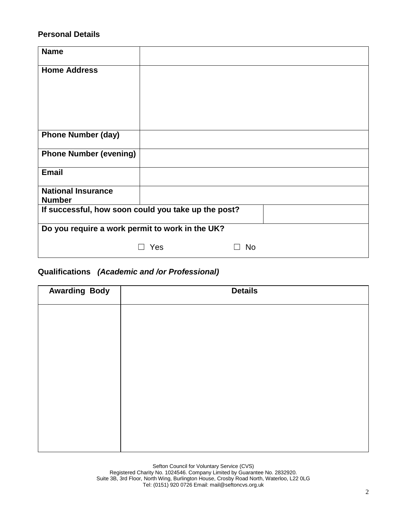### **Personal Details**

| <b>Name</b>                                         |     |           |
|-----------------------------------------------------|-----|-----------|
| <b>Home Address</b>                                 |     |           |
|                                                     |     |           |
|                                                     |     |           |
|                                                     |     |           |
| <b>Phone Number (day)</b>                           |     |           |
| <b>Phone Number (evening)</b>                       |     |           |
| <b>Email</b>                                        |     |           |
| <b>National Insurance</b><br><b>Number</b>          |     |           |
| If successful, how soon could you take up the post? |     |           |
| Do you require a work permit to work in the UK?     |     |           |
|                                                     | Yes | <b>No</b> |

# **Qualifications** *(Academic and /or Professional)*

| <b>Awarding Body</b> | <b>Details</b> |
|----------------------|----------------|
|                      |                |
|                      |                |
|                      |                |
|                      |                |
|                      |                |
|                      |                |
|                      |                |
|                      |                |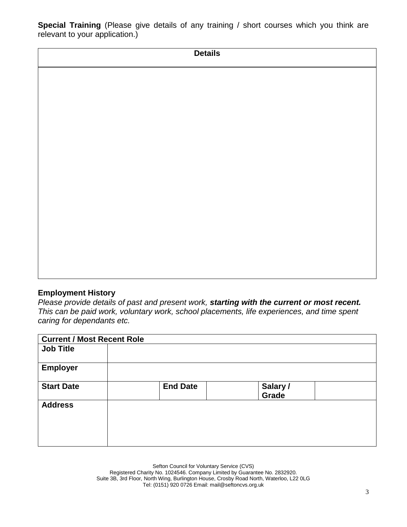**Special Training** (Please give details of any training / short courses which you think are relevant to your application.)

| <b>Details</b> |  |
|----------------|--|
|                |  |
|                |  |
|                |  |
|                |  |
|                |  |
|                |  |
|                |  |
|                |  |
|                |  |
|                |  |
|                |  |
|                |  |

### **Employment History**

*Please provide details of past and present work, starting with the current or most recent. This can be paid work, voluntary work, school placements, life experiences, and time spent caring for dependants etc.* 

| <b>Current / Most Recent Role</b> |                 |                   |  |
|-----------------------------------|-----------------|-------------------|--|
| <b>Job Title</b>                  |                 |                   |  |
| <b>Employer</b>                   |                 |                   |  |
| <b>Start Date</b>                 | <b>End Date</b> | Salary /<br>Grade |  |
| <b>Address</b>                    |                 |                   |  |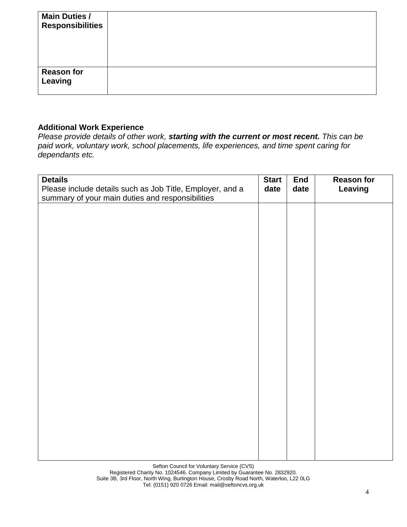| <b>Main Duties /</b><br><b>Responsibilities</b> |  |
|-------------------------------------------------|--|
| <b>Reason for</b><br><b>Leaving</b>             |  |

# **Additional Work Experience**

*Please provide details of other work, starting with the current or most recent. This can be paid work, voluntary work, school placements, life experiences, and time spent caring for dependants etc.* 

| <b>Details</b><br>Please include details such as Job Title, Employer, and a<br>summary of your main duties and responsibilities | <b>Start</b><br>date | <b>End</b><br>date | <b>Reason for</b><br>Leaving |
|---------------------------------------------------------------------------------------------------------------------------------|----------------------|--------------------|------------------------------|
|                                                                                                                                 |                      |                    |                              |
|                                                                                                                                 |                      |                    |                              |
|                                                                                                                                 |                      |                    |                              |
|                                                                                                                                 |                      |                    |                              |
|                                                                                                                                 |                      |                    |                              |
|                                                                                                                                 |                      |                    |                              |
|                                                                                                                                 |                      |                    |                              |
|                                                                                                                                 |                      |                    |                              |
|                                                                                                                                 |                      |                    |                              |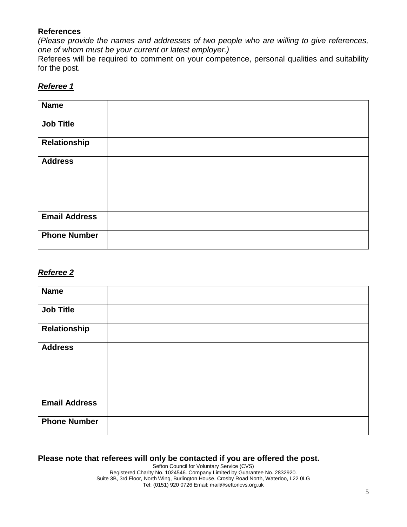### **References**

*(Please provide the names and addresses of two people who are willing to give references, one of whom must be your current or latest employer.)*

Referees will be required to comment on your competence, personal qualities and suitability for the post.

### *Referee 1*

| <b>Name</b>          |  |
|----------------------|--|
| <b>Job Title</b>     |  |
| Relationship         |  |
| <b>Address</b>       |  |
| <b>Email Address</b> |  |
| <b>Phone Number</b>  |  |

### *Referee 2*

| <b>Name</b>          |  |
|----------------------|--|
| <b>Job Title</b>     |  |
| Relationship         |  |
| <b>Address</b>       |  |
| <b>Email Address</b> |  |
| <b>Phone Number</b>  |  |

# **Please note that referees will only be contacted if you are offered the post.**

Sefton Council for Voluntary Service (CVS) Registered Charity No. 1024546. Company Limited by Guarantee No. 2832920. Suite 3B, 3rd Floor, North Wing, Burlington House, Crosby Road North, Waterloo, L22 0LG Tel: (0151) 920 0726 Email: mail@seftoncvs.org.uk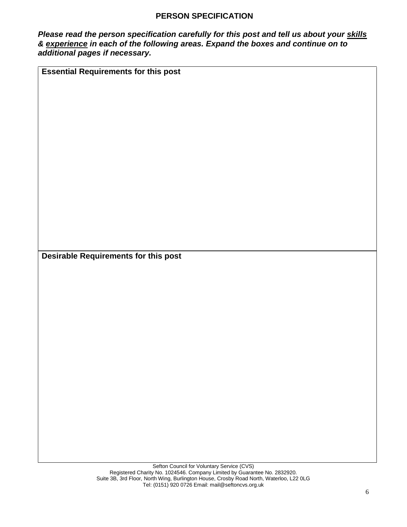### **PERSON SPECIFICATION**

*Please read the person specification carefully for this post and tell us about your skills & experience in each of the following areas. Expand the boxes and continue on to additional pages if necessary.* 

**Essential Requirements for this post** 

**Desirable Requirements for this post**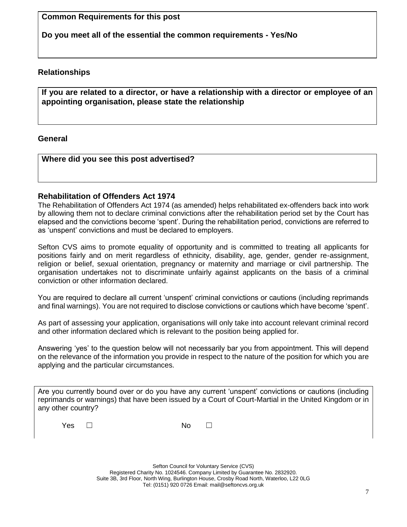**Common Requirements for this post** 

**Do you meet all of the essential the common requirements - Yes/No**

## **Relationships**

**If you are related to a director, or have a relationship with a director or employee of an appointing organisation, please state the relationship**

### **General**

### **Where did you see this post advertised?**

### **Rehabilitation of Offenders Act 1974**

The Rehabilitation of Offenders Act 1974 (as amended) helps rehabilitated ex-offenders back into work by allowing them not to declare criminal convictions after the rehabilitation period set by the Court has elapsed and the convictions become 'spent'. During the rehabilitation period, convictions are referred to as 'unspent' convictions and must be declared to employers.

Sefton CVS aims to promote equality of opportunity and is committed to treating all applicants for positions fairly and on merit regardless of ethnicity, disability, age, gender, gender re-assignment, religion or belief, sexual orientation, pregnancy or maternity and marriage or civil partnership. The organisation undertakes not to discriminate unfairly against applicants on the basis of a criminal conviction or other information declared.

You are required to declare all current 'unspent' criminal convictions or cautions (including reprimands and final warnings). You are not required to disclose convictions or cautions which have become 'spent'.

As part of assessing your application, organisations will only take into account relevant criminal record and other information declared which is relevant to the position being applied for.

Answering 'yes' to the question below will not necessarily bar you from appointment. This will depend on the relevance of the information you provide in respect to the nature of the position for which you are applying and the particular circumstances.

Are you currently bound over or do you have any current 'unspent' convictions or cautions (including reprimands or warnings) that have been issued by a Court of Court-Martial in the United Kingdom or in any other country?

Yes □ No □

Sefton Council for Voluntary Service (CVS) Registered Charity No. 1024546. Company Limited by Guarantee No. 2832920. Suite 3B, 3rd Floor, North Wing, Burlington House, Crosby Road North, Waterloo, L22 0LG Tel: (0151) 920 0726 Email: mail@seftoncvs.org.uk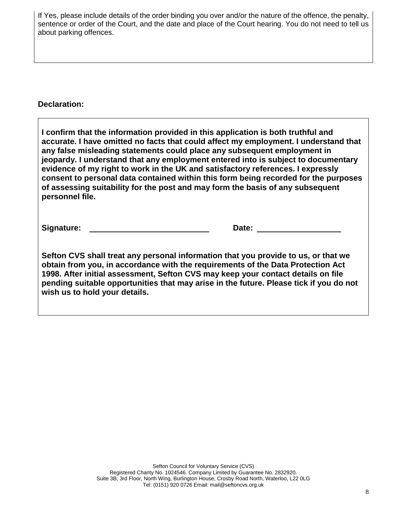If Yes, please include details of the order binding you over and/or the nature of the offence, the penalty, sentence or order of the Court, and the date and place of the Court hearing. You do not need to tell us about parking offences.

### **Declaration:**

**I confirm that the information provided in this application is both truthful and accurate. I have omitted no facts that could affect my employment. I understand that any false misleading statements could place any subsequent employment in jeopardy. I understand that any employment entered into is subject to documentary evidence of my right to work in the UK and satisfactory references. I expressly consent to personal data contained within this form being recorded for the purposes of assessing suitability for the post and may form the basis of any subsequent personnel file.** 

**Signature:** \_\_\_\_\_\_\_\_ **Date:** 

**Sefton CVS shall treat any personal information that you provide to us, or that we obtain from you, in accordance with the requirements of the Data Protection Act 1998. After initial assessment, Sefton CVS may keep your contact details on file pending suitable opportunities that may arise in the future. Please tick if you do not wish us to hold your details.**